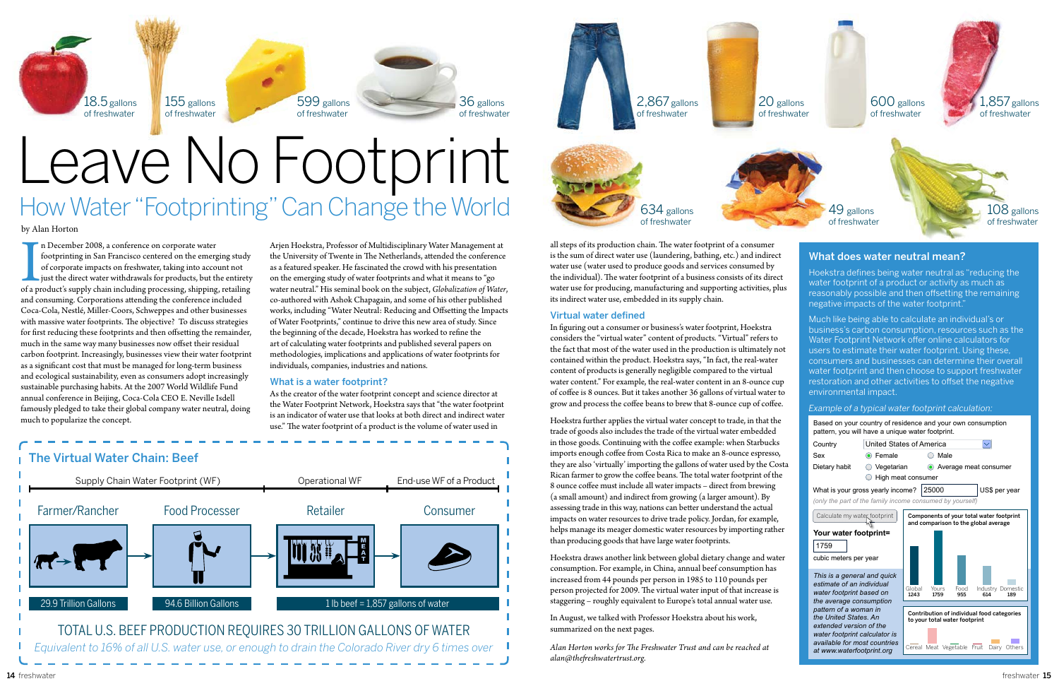





by Alan Horton

In December 2008, a conference on corporate water<br>footprinting in San Francisco centered on the emerging study<br>of corporate impacts on freshwater, taking into account not<br>just the direct water withdrawals for products, but n December 2008, a conference on corporate water footprinting in San Francisco centered on the emerging study of corporate impacts on freshwater, taking into account not just the direct water withdrawals for products, but the entirety and consuming. Corporations attending the conference included Coca-Cola, Nestlé, Miller-Coors, Schweppes and other businesses with massive water footprints. The objective? To discuss strategies for first reducing these footprints and then offsetting the remainder, much in the same way many businesses now offset their residual carbon footprint. Increasingly, businesses view their water footprint as a significant cost that must be managed for long-term business and ecological sustainability, even as consumers adopt increasingly sustainable purchasing habits. At the 2007 World Wildlife Fund annual conference in Beijing, Coca-Cola CEO E. Neville Isdell famously pledged to take their global company water neutral, doing much to popularize the concept.

# How Water "Footprinting" Can Change the World Leave No Footprint

Arjen Hoekstra, Professor of Multidisciplinary Water Management at the University of Twente in The Netherlands, attended the conference as a featured speaker. He fascinated the crowd with his presentation on the emerging study of water footprints and what it means to "go water neutral." His seminal book on the subject, *Globalization of Water*, co-authored with Ashok Chapagain, and some of his other published works, including "Water Neutral: Reducing and Offsetting the Impacts of Water Footprints," continue to drive this new area of study. Since the beginning of the decade, Hoekstra has worked to refine the art of calculating water footprints and published several papers on methodologies, implications and applications of water footprints for individuals, companies, industries and nations.

### What is a water footprint?

As the creator of the water footprint concept and science director at the Water Footprint Network, Hoekstra says that "the water footprint is an indicator of water use that looks at both direct and indirect water use." The water footprint of a product is the volume of water used in



### The Virtual Water Chain: Beef



all steps of its production chain. The water footprint of a consumer is the sum of direct water use (laundering, bathing, etc.) and indirect water use (water used to produce goods and services consumed by the individual). The water footprint of a business consists of its direct water use for producing, manufacturing and supporting activities, plus its indirect water use, embedded in its supply chain.

### Virtual water defined

### .857 gallons 600 gallons of freshwater of freshwater 49 gallons 108 gallons of freshwater of freshwater What does water neutral mean? Hoekstra defines being water neutral as "reducing the water footprint of a product or activity as much as reasonably possible and then offsetting the remaining negative impacts of the water footprint.' Much like being able to calculate an individual's or business's carbon consumption, resources such as the Water Footprint Network offer online calculators for users to estimate their water footprint. Using these, consumers and businesses can determine their overall water footprint and then choose to support freshwater restoration and other activities to offset the negative environmental impact. *Example of a typical water footprint calculation:* Based on your country of residence and your own consumption pattern, you will have a unique water footprint. United States of America $\vert \vee \vert$ **Country** Sex • • Female • Male Dietary habit  $\bigcirc$  Vegetarian  $\bigcirc$  Average meat consumer High meat consumer What is your gross yearly income? US\$ per year 25000 *(only the part of the family income consumed by yourself)* Calculate my water footprint Components of your total water footprint and comparison to the global average **Your water footprint=** 1759 cubic meters per year *This is a general and quick estimate of an individual*  Global 1243 Yours 1759 Food 955 Industry 614 Domestic 189 *water footprint based on the average consumption pattern of a woman in*  Contribution of individual food categories *the United States. An*

In figuring out a consumer or business's water footprint, Hoekstra considers the "virtual water" content of products. "Virtual" refers to the fact that most of the water used in the production is ultimately not contained within the product. Hoekstra says, "In fact, the real-water content of products is generally negligible compared to the virtual water content." For example, the real-water content in an 8-ounce cup of coffee is 8 ounces. But it takes another 36 gallons of virtual water to grow and process the coffee beans to brew that 8-ounce cup of coffee.

Hoekstra further applies the virtual water concept to trade, in that the trade of goods also includes the trade of the virtual water embedded in those goods. Continuing with the coffee example: when Starbucks imports enough coffee from Costa Rica to make an 8-ounce espresso, they are also 'virtually' importing the gallons of water used by the Costa Rican farmer to grow the coffee beans. The total water footprint of the 8 ounce coffee must include all water impacts – direct from brewing (a small amount) and indirect from growing (a larger amount). By assessing trade in this way, nations can better understand the actual impacts on water resources to drive trade policy. Jordan, for example, helps manage its meager domestic water resources by importing rather than producing goods that have large water footprints.

Hoekstra draws another link between global dietary change and water consumption. For example, in China, annual beef consumption has increased from 44 pounds per person in 1985 to 110 pounds per person projected for 2009. The virtual water input of that increase is staggering – roughly equivalent to Europe's total annual water use.

In August, we talked with Professor Hoekstra about his work, summarized on the next pages.

*Alan Horton works for The Freshwater Trust and can be reached at alan@thefreshwatertrust.org.*

to your total water footprint

Cereal Meat Vegetable Fruit Dairy Others

*extended version of the water footprint calculator is available for most countries at www.waterfootprint.org*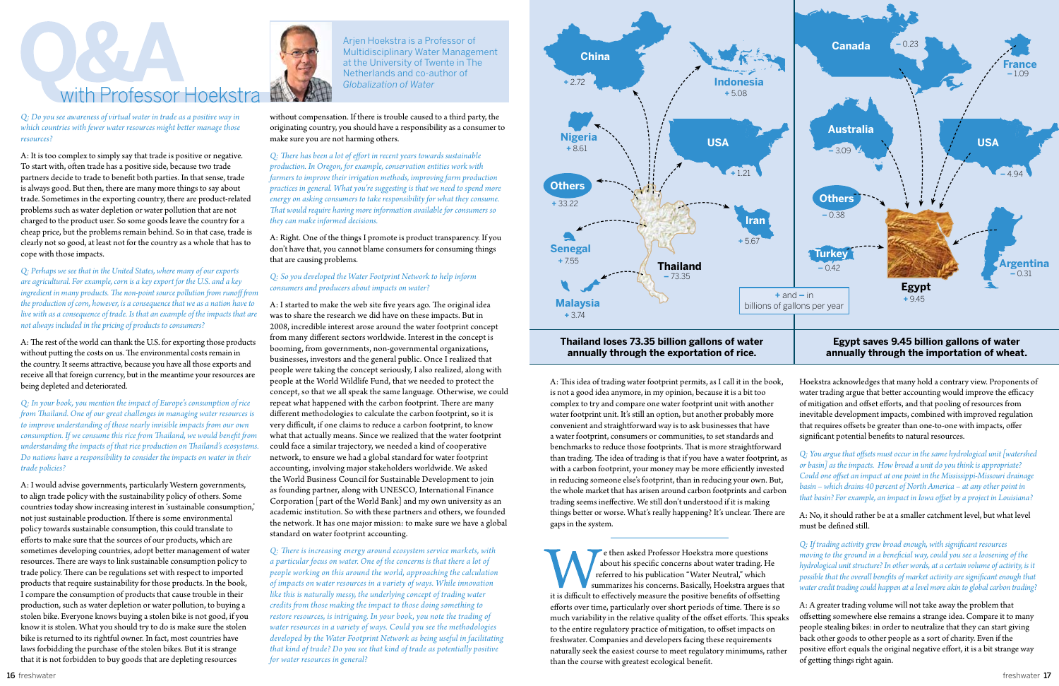

*Q: Do you see awareness of virtual water in trade as a positive way in which countries with fewer water resources might better manage those resources?*

A: It is too complex to simply say that trade is positive or negative. To start with, often trade has a positive side, because two trade partners decide to trade to benefit both parties. In that sense, trade is always good. But then, there are many more things to say about trade. Sometimes in the exporting country, there are product-related problems such as water depletion or water pollution that are not charged to the product user. So some goods leave the country for a cheap price, but the problems remain behind. So in that case, trade is clearly not so good, at least not for the country as a whole that has to cope with those impacts.

*Q: Perhaps we see that in the United States, where many of our exports are agricultural. For example, corn is a key export for the U.S. and a key ingredient in many products. The non-point source pollution from runoff fron the production of corn, however, is a consequence that we as a nation have to live with as a consequence of trade. Is that an example of the impacts that are not always included in the pricing of products to consumers?*

A: The rest of the world can thank the U.S. for exporting those products without putting the costs on us. The environmental costs remain in the country. It seems attractive, because you have all those exports and receive all that foreign currency, but in the meantime your resources are being depleted and deteriorated.

*Q: In your book, you mention the impact of Europe's consumption of rice from Thailand. One of our great challenges in managing water resources is to improve understanding of those nearly invisible impacts from our own consumption. If we consume this rice from Thailand, we would benefit from understanding the impacts of that rice production on Thailand's ecosystems. Do nations have a responsibility to consider the impacts on water in their trade policies?*

A: I would advise governments, particularly Western governments, to align trade policy with the sustainability policy of others. Some countries today show increasing interest in 'sustainable consumption,' not just sustainable production. If there is some environmental policy towards sustainable consumption, this could translate to efforts to make sure that the sources of our products, which are sometimes developing countries, adopt better management of water resources. There are ways to link sustainable consumption policy to trade policy. There can be regulations set with respect to imported products that require sustainability for those products. In the book, I compare the consumption of products that cause trouble in their production, such as water depletion or water pollution, to buying a stolen bike. Everyone knows buying a stolen bike is not good, if you know it is stolen. What you should try to do is make sure the stolen bike is returned to its rightful owner. In fact, most countries have laws forbidding the purchase of the stolen bikes. But it is strange that it is not forbidden to buy goods that are depleting resources



without compensation. If there is trouble caused to a third party, the originating country, you should have a responsibility as a consumer to make sure you are not harming others.

*Q: There has been a lot of effort in recent years towards sustainable production. In Oregon, for example, conservation entities work with farmers to improve their irrigation methods, improving farm production practices in general. What you're suggesting is that we need to spend more energy on asking consumers to take responsibility for what they consume. That would require having more information available for consumers so they can make informed decisions.*

A: Right. One of the things I promote is product transparency. If you don't have that, you cannot blame consumers for consuming things that are causing problems.

### *Q: So you developed the Water Footprint Network to help inform consumers and producers about impacts on water?*

A: I started to make the web site five years ago. The original idea was to share the research we did have on these impacts. But in 2008, incredible interest arose around the water footprint concept from many different sectors worldwide. Interest in the concept is booming, from governments, non-governmental organizations, businesses, investors and the general public. Once I realized that people were taking the concept seriously, I also realized, along with people at the World Wildlife Fund, that we needed to protect the concept, so that we all speak the same language. Otherwise, we could repeat what happened with the carbon footprint. There are many different methodologies to calculate the carbon footprint, so it is very difficult, if one claims to reduce a carbon footprint, to know what that actually means. Since we realized that the water footprint could face a similar trajectory, we needed a kind of cooperative network, to ensure we had a global standard for water footprint accounting, involving major stakeholders worldwide. We asked the World Business Council for Sustainable Development to join as founding partner, along with UNESCO, International Finance Corporation [part of the World Bank] and my own university as an academic institution. So with these partners and others, we founded the network. It has one major mission: to make sure we have a global standard on water footprint accounting.



*Q: There is increasing energy around ecosystem service markets, with a particular focus on water. One of the concerns is that there a lot of people working on this around the world, approaching the calculation of impacts on water resources in a variety of ways. While innovation like this is naturally messy, the underlying concept of trading water credits from those making the impact to those doing something to restore resources, is intriguing. In your book, you note the trading of water resources in a variety of ways. Could you see the methodologies developed by the Water Footprint Network as being useful in facilitating that kind of trade? Do you see that kind of trade as potentially positive for water resources in general?*

A: This idea of trading water footprint permits, as I call it in the book, is not a good idea anymore, in my opinion, because it is a bit too complex to try and compare one water footprint unit with another water footprint unit. It's still an option, but another probably more convenient and straightforward way is to ask businesses that have a water footprint, consumers or communities, to set standards and benchmarks to reduce those footprints. That is more straightforwar than trading. The idea of trading is that if you have a water footprint with a carbon footprint, your money may be more efficiently investe in reducing someone else's footprint, than in reducing your own. But the whole market that has arisen around carbon footprints and carb trading seems ineffective. We still don't understood if it is making things better or worse. What's really happening? It's unclear. There a gaps in the system.

e then asked Professor Hoekstra more questions about his specific concerns about water trading. He referred to his publication "Water Neutral," which summarizes his concerns. Basically, Hoekstra argues th it is difficult to effectively measure the positive benefits of offsetting efforts over time, particularly over short periods of time. There is so much variability in the relative quality of the offset efforts. This spe to the entire regulatory practice of mitigation, to offset impacts on freshwater. Companies and developers facing these requirements naturally seek the easiest course to meet regulatory minimums, rat than the course with greatest ecological benefit.

| Hoekstra acknowledges that many hold a contrary view. Proponents of   |
|-----------------------------------------------------------------------|
| water trading argue that better accounting would improve the efficacy |
| of mitigation and offset efforts, and that pooling of resources from  |
| inevitable development impacts, combined with improved regulation     |
| that requires offsets be greater than one-to-one with impacts, offer  |
| significant potential benefits to natural resources.                  |

| d<br>;, as<br>ed<br>ıt,<br>on | Q: You argue that offsets must occur in the same hydrological unit [watershed<br>or basin] as the impacts. How broad a unit do you think is appropriate?<br>Could one offset an impact at one point in the Mississippi-Missouri drainage<br>$basin$ – which drains 40 percent of North America – at any other point in<br>that basin? For example, an impact in Iowa offset by a project in Louisiana?             |  |  |
|-------------------------------|--------------------------------------------------------------------------------------------------------------------------------------------------------------------------------------------------------------------------------------------------------------------------------------------------------------------------------------------------------------------------------------------------------------------|--|--|
| are                           | A: No, it should rather be at a smaller catchment level, but what level<br>must be defined still.                                                                                                                                                                                                                                                                                                                  |  |  |
| ıat                           | Q: If trading activity grew broad enough, with significant resources<br>moving to the ground in a beneficial way, could you see a loosening of the<br>hydrological unit structure? In other words, at a certain volume of activity, is it<br>possible that the overall benefits of market activity are significant enough that<br>water credit trading could happen at a level more akin to global carbon trading? |  |  |
| g<br>O<br>aks:                | A: A greater trading volume will not take away the problem that<br>offsetting somewhere else remains a strange idea. Compare it to many<br>people stealing bikes: in order to neutralize that they can start giving<br>back other goods to other people as a sort of charity. Even if the                                                                                                                          |  |  |
| her                           | positive effort equals the original negative effort, it is a bit strange way<br>of getting things right again.                                                                                                                                                                                                                                                                                                     |  |  |

## **annually through the exportation of rice.**

Arjen Hoekstra is a Professor of Multidisciplinary Water Management at the University of Twente in The Netherlands and co-author of